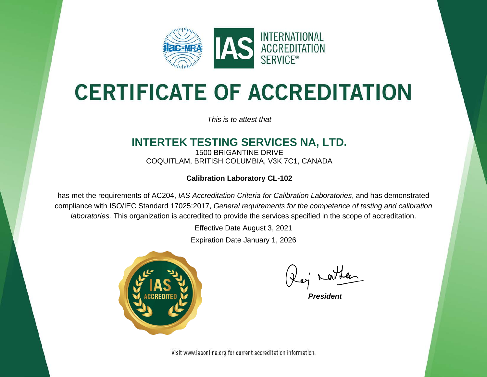

# **CERTIFICATE OF ACCREDITATION**

*This is to attest that*

#### **INTERTEK TESTING SERVICES NA, LTD.**

1500 BRIGANTINE DRIVE COQUITLAM, BRITISH COLUMBIA, V3K 7C1, CANADA

#### **Calibration Laboratory CL-102**

has met the requirements of AC204, *IAS Accreditation Criteria for Calibration Laboratories*, and has demonstrated compliance with ISO/IEC Standard 17025:2017, *General requirements for the competence of testing and calibration laboratories.* This organization is accredited to provide the services specified in the scope of accreditation.

Effective Date August 3, 2021

Expiration Date January 1, 2026



*President*

Visit www.iasonline.org for current accreditation information.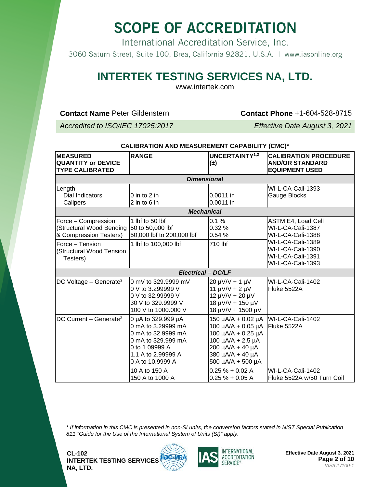International Accreditation Service, Inc.

3060 Saturn Street, Suite 100, Brea, California 92821, U.S.A. | www.iasonline.org

#### **INTERTEK TESTING SERVICES NA, LTD.**

www.intertek.com

**Contact Name** Peter Gildenstern **Contact Phone** +1-604-528-8715

*Accredited to ISO/IEC 17025:2017 Effective Date August 3, 2021*

| CALIBRATION AND MEASUREMENT CAPABILITY (CMC)*                                                |                                                                                                                                                  |                                                                                                                                                                                      |                                                                                          |  |  |  |
|----------------------------------------------------------------------------------------------|--------------------------------------------------------------------------------------------------------------------------------------------------|--------------------------------------------------------------------------------------------------------------------------------------------------------------------------------------|------------------------------------------------------------------------------------------|--|--|--|
| <b>MEASURED</b><br><b>QUANTITY or DEVICE</b><br><b>TYPE CALIBRATED</b>                       | <b>RANGE</b>                                                                                                                                     | <b>UNCERTAINTY1,2</b><br>$(\pm)$                                                                                                                                                     | <b>CALIBRATION PROCEDURE</b><br><b>AND/OR STANDARD</b><br><b>EQUIPMENT USED</b>          |  |  |  |
|                                                                                              | <b>Dimensional</b>                                                                                                                               |                                                                                                                                                                                      |                                                                                          |  |  |  |
| Length<br>Dial Indicators<br>Calipers                                                        | 0 in to 2 in<br>$2$ in to $6$ in                                                                                                                 | 0.0011 in<br>0.0011 in                                                                                                                                                               | WI-L-CA-Cali-1393<br>Gauge Blocks                                                        |  |  |  |
|                                                                                              | <b>Mechanical</b>                                                                                                                                |                                                                                                                                                                                      |                                                                                          |  |  |  |
| Force - Compression<br>(Structural Wood Bending<br>& Compression Testers)<br>Force - Tension | 1 lbf to 50 lbf<br>50 to 50,000 lbf<br>50,000 lbf to 200,000 lbf<br>1 lbf to 100,000 lbf                                                         | 0.1%<br>0.32%<br>0.54 %<br>710 lbf                                                                                                                                                   | <b>ASTM E4, Load Cell</b><br>WI-L-CA-Cali-1387<br>WI-L-CA-Cali-1388<br>WI-L-CA-Cali-1389 |  |  |  |
| (Structural Wood Tension<br>Testers)                                                         |                                                                                                                                                  |                                                                                                                                                                                      | WI-L-CA-Cali-1390<br>WI-L-CA-Cali-1391<br>WI-L-CA-Cali-1393                              |  |  |  |
|                                                                                              | <b>Electrical - DC/LF</b>                                                                                                                        |                                                                                                                                                                                      |                                                                                          |  |  |  |
| DC Voltage $-$ Generate <sup>3</sup>                                                         | 0 mV to 329.9999 mV<br>0 V to 3.299999 V<br>0 V to 32.99999 V<br>30 V to 329.9999 V<br>100 V to 1000.000 V                                       | $20 \mu V/V + 1 \mu V$<br>$11 \mu V/V + 2 \mu V$<br>$12 \mu V/V + 20 \mu V$<br>18 µV/V + 150 µV<br>18 µV/V + 1500 µV                                                                 | WI-L-CA-Cali-1402<br>Fluke 5522A                                                         |  |  |  |
| DC Current - Generate <sup>3</sup>                                                           | 0 µA to 329.999 µA<br>0 mA to 3.29999 mA<br>0 mA to 32.9999 mA<br>0 mA to 329.999 mA<br>0 to 1.09999 A<br>1.1 A to 2.99999 A<br>0 A to 10.9999 A | 150 $\mu$ A/A + 0.02 $\mu$ A<br>$100 \mu A/A + 0.05 \mu A$<br>100 µA/A + 0.25 µA<br>100 $\mu$ A/A + 2.5 $\mu$ A<br>200 µA/A + 40 µA<br>380 µA/A + 40 µA<br>$500 \mu A/A + 500 \mu A$ | WI-L-CA-Cali-1402<br>Fluke 5522A                                                         |  |  |  |
|                                                                                              | 10 A to 150 A<br>150 A to 1000 A                                                                                                                 | $0.25 \% + 0.02 A$<br>$0.25% + 0.05A$                                                                                                                                                | WI-L-CA-Cali-1402<br>Fluke 5522A w/50 Turn Coil                                          |  |  |  |

*\* If information in this CMC is presented in non-SI units, the conversion factors stated in NIST Special Publication 811 "Guide for the Use of the International System of Units (SI)" apply.*





**Effective Date August 3, 2021 Page 2 of 10** *IAS/CL/100-1*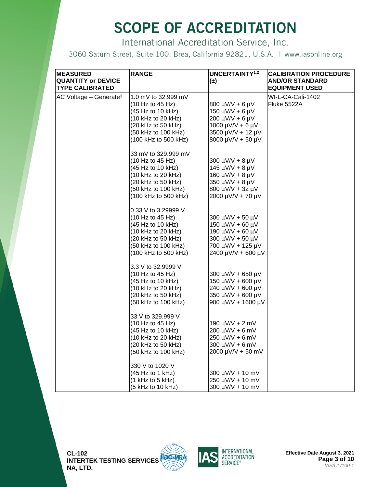International Accreditation Service, Inc.

| <b>MEASURED</b><br><b>QUANTITY or DEVICE</b><br><b>TYPE CALIBRATED</b> | <b>RANGE</b>                                                                                                                                                         | UNCERTAINTY <sup>1,2</sup><br>$(\pm)$                                                                                         | <b>CALIBRATION PROCEDURE</b><br><b>AND/OR STANDARD</b><br><b>EQUIPMENT USED</b> |
|------------------------------------------------------------------------|----------------------------------------------------------------------------------------------------------------------------------------------------------------------|-------------------------------------------------------------------------------------------------------------------------------|---------------------------------------------------------------------------------|
| AC Voltage $-$ Generate <sup>3</sup>                                   | 1.0 mV to 32.999 mV<br>(10 Hz to 45 Hz)<br>(45 Hz to 10 kHz)<br>(10 kHz to 20 kHz)<br>(20 kHz to 50 kHz)<br>(50 kHz to 100 kHz)                                      | 800 µV/V + 6 µV<br>$150 \mu V/V + 6 \mu V$<br>$200 \mu V/V + 6 \mu V$<br>$1000 \mu V/V + 6 \mu V$<br>3500 µV/V + 12 µV        | WI-L-CA-Cali-1402<br>Fluke 5522A                                                |
|                                                                        | (100 kHz to 500 kHz)<br>33 mV to 329.999 mV<br>(10 Hz to 45 Hz)                                                                                                      | 8000 µV/V + 50 µV<br>$300 \mu V/V + 8 \mu V$                                                                                  |                                                                                 |
|                                                                        | $(45 \text{ Hz}$ to 10 kHz)<br>$(10 \text{ kHz to } 20 \text{ kHz})$<br>(20 kHz to 50 kHz)<br>(50 kHz to 100 kHz)                                                    | $145 \mu V/V + 8 \mu V$<br>160 $\mu$ V/V + 8 $\mu$ V<br>350 µV/V + 8 µV<br>800 µV/V + 32 µV                                   |                                                                                 |
|                                                                        | (100 kHz to 500 kHz)<br>0.33 V to 3.29999 V<br>(10 Hz to 45 Hz)<br>(45 Hz to 10 kHz)                                                                                 | 2000 µV/V + 70 µV<br>300 µV/V + 50 µV<br>$150 \mu V/V + 60 \mu V$                                                             |                                                                                 |
|                                                                        | $(10 \text{ kHz to } 20 \text{ kHz})$<br>$(20 \text{ kHz to } 50 \text{ kHz})$<br>(50 kHz to 100 kHz)<br>(100 kHz to 500 kHz)                                        | 190 µV/V + 60 µV<br>300 µV/V + 50 µV<br>700 µV/V + 125 µV<br>2400 µV/V + 600 µV                                               |                                                                                 |
|                                                                        | 3.3 V to 32.9999 V<br>$(10 \text{ Hz to } 45 \text{ Hz})$<br>(45 Hz to 10 kHz)<br>$(10 \text{ kHz to } 20 \text{ kHz})$<br>(20 kHz to 50 kHz)<br>(50 kHz to 100 kHz) | $300 \mu V/V + 650 \mu V$<br>150 µV/V + 600 µV<br>240 µV/V + 600 µV<br>350 µV/V + 600 µV<br>900 µV/V + 1600 µV                |                                                                                 |
|                                                                        | 33 V to 329.999 V<br>(10 Hz to 45 Hz)<br>(45 Hz to 10 kHz)<br>(10 kHz to 20 kHz)<br>$(20 \text{ kHz to } 50 \text{ kHz})$<br>(50 kHz to 100 kHz)                     | $190 \mu V/V + 2 \mu V$<br>$200 \mu V/V + 6 \mu V$<br>$250 \mu V/V + 6 \mu V$<br>$300 \mu V/V + 6 \mu V$<br>2000 µV/V + 50 mV |                                                                                 |
|                                                                        | 330 V to 1020 V<br>(45 Hz to 1 kHz)<br>$(1$ kHz to 5 kHz)<br>(5 kHz to 10 kHz)                                                                                       | 300 µV/V + 10 mV<br>250 µV/V + 10 mV<br>300 µV/V + 10 mV                                                                      |                                                                                 |



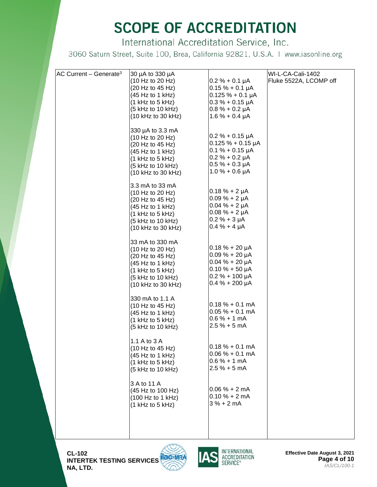International Accreditation Service, Inc.

| AC Current - Generate <sup>3</sup> | 30 µA to 330 µA                       |                                          | WI-L-CA-Cali-1402      |
|------------------------------------|---------------------------------------|------------------------------------------|------------------------|
|                                    | (10 Hz to 20 Hz)                      | $0.2 \% + 0.1 \mu A$                     | Fluke 5522A, LCOMP off |
|                                    | (20 Hz to 45 Hz)                      | $0.15 \% + 0.1 \mu A$                    |                        |
|                                    | (45 Hz to 1 kHz)                      | $0.125 \% + 0.1 \mu A$                   |                        |
|                                    | $(1$ kHz to 5 kHz)                    | $0.3% + 0.15 \mu A$                      |                        |
|                                    | $(5$ kHz to 10 kHz)                   | $0.8% + 0.2 \mu A$                       |                        |
|                                    | $(10 \text{ kHz to } 30 \text{ kHz})$ | $1.6% + 0.4 \mu A$                       |                        |
|                                    |                                       |                                          |                        |
|                                    | 330 µA to 3.3 mA                      |                                          |                        |
|                                    | (10 Hz to 20 Hz)                      | $0.2 % + 0.15 \mu A$                     |                        |
|                                    | (20 Hz to 45 Hz)                      | $0.125 \% + 0.15 \mu A$                  |                        |
|                                    | (45 Hz to 1 kHz)                      | $0.1 % + 0.15 \mu A$                     |                        |
|                                    | $(1$ kHz to 5 kHz)                    | $0.2 % + 0.2 \mu A$                      |                        |
|                                    | $(5$ kHz to 10 kHz)                   | $0.5% + 0.3 \mu A$                       |                        |
|                                    | (10 kHz to 30 kHz)                    | $1.0% + 0.6 \mu A$                       |                        |
|                                    |                                       |                                          |                        |
|                                    | 3.3 mA to 33 mA                       | $0.18 \% + 2 \mu A$                      |                        |
|                                    | (10 Hz to 20 Hz)                      |                                          |                        |
|                                    | (20 Hz to 45 Hz)                      | $0.09% + 2 \mu A$                        |                        |
|                                    | (45 Hz to 1 kHz)                      | $0.04 \% + 2 \mu A$                      |                        |
|                                    | $(1$ kHz to 5 kHz)                    | $0.08 \% + 2 \mu A$<br>$0.2 % + 3 \mu A$ |                        |
|                                    | $(5$ kHz to 10 kHz)                   |                                          |                        |
|                                    | $(10 \text{ kHz to } 30 \text{ kHz})$ | $0.4 \% + 4 \mu A$                       |                        |
|                                    | 33 mA to 330 mA                       |                                          |                        |
|                                    | (10 Hz to 20 Hz)                      | $0.18 \% + 20 \mu A$                     |                        |
|                                    | (20 Hz to 45 Hz)                      | $0.09% + 20 \mu A$                       |                        |
|                                    | (45 Hz to 1 kHz)                      | $0.04 \% + 20 \mu A$                     |                        |
|                                    | $(1$ kHz to 5 kHz)                    | $0.10 \% + 50 \mu A$                     |                        |
|                                    | (5 kHz to 10 kHz)                     | $0.2 % + 100 \mu A$                      |                        |
|                                    | $(10 \text{ kHz to } 30 \text{ kHz})$ | $0.4 % + 200 \mu A$                      |                        |
|                                    |                                       |                                          |                        |
|                                    | 330 mA to 1.1 A                       |                                          |                        |
|                                    | (10 Hz to 45 Hz)                      | $0.18\% + 0.1 \text{ mA}$                |                        |
|                                    | (45 Hz to 1 kHz)                      | $0.05% + 0.1$ mA                         |                        |
|                                    | $(1$ kHz to 5 kHz)                    | $0.6% + 1 mA$                            |                        |
|                                    | (5 kHz to 10 kHz)                     | $2.5% + 5mA$                             |                        |
|                                    |                                       |                                          |                        |
|                                    | 1.1 A to 3 A                          |                                          |                        |
|                                    | (10 Hz to 45 Hz)                      | $0.18 \% + 0.1 mA$                       |                        |
|                                    | (45 Hz to 1 kHz)                      | $0.06\% + 0.1 \text{ mA}$                |                        |
|                                    | $(1$ kHz to 5 kHz)                    | $0.6% + 1 mA$                            |                        |
|                                    | (5 kHz to 10 kHz)                     | $2.5% + 5mA$                             |                        |
|                                    | 3 A to 11 A                           |                                          |                        |
|                                    | (45 Hz to 100 Hz)                     | $0.06% + 2mA$                            |                        |
|                                    | (100 Hz to 1 kHz)                     | $0.10% + 2mA$                            |                        |
|                                    | $(1$ kHz to 5 kHz)                    | $3% + 2mA$                               |                        |
|                                    |                                       |                                          |                        |
|                                    |                                       |                                          |                        |
|                                    |                                       |                                          |                        |
|                                    |                                       |                                          |                        |

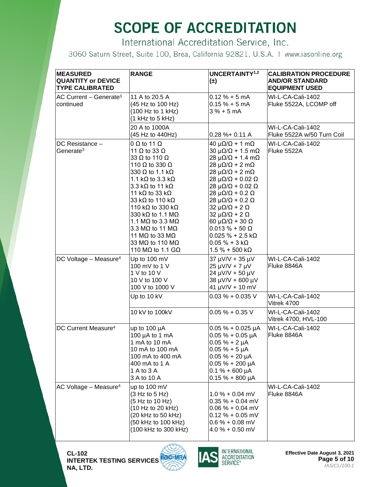International Accreditation Service, Inc.

3060 Saturn Street, Suite 100, Brea, California 92821, U.S.A. | www.iasonline.org

| <b>MEASURED</b><br><b>QUANTITY or DEVICE</b><br><b>TYPE CALIBRATED</b> | <b>RANGE</b>                                                                                                                                                                                                                                                                                                                                                                                                                                                                                                 | UNCERTAINTY <sup>1,2</sup><br>$(\pm)$                                                                                                                                                                                                                                                                                                                                                                                                                                                                                                                                                                | <b>CALIBRATION PROCEDURE</b><br><b>AND/OR STANDARD</b><br><b>EQUIPMENT USED</b> |
|------------------------------------------------------------------------|--------------------------------------------------------------------------------------------------------------------------------------------------------------------------------------------------------------------------------------------------------------------------------------------------------------------------------------------------------------------------------------------------------------------------------------------------------------------------------------------------------------|------------------------------------------------------------------------------------------------------------------------------------------------------------------------------------------------------------------------------------------------------------------------------------------------------------------------------------------------------------------------------------------------------------------------------------------------------------------------------------------------------------------------------------------------------------------------------------------------------|---------------------------------------------------------------------------------|
| $AC$ Current – Generate <sup>3</sup><br>continued                      | 11 A to 20.5 A<br>(45 Hz to 100 Hz)<br>(100 Hz to 1 kHz)<br>$(1$ kHz to 5 kHz)                                                                                                                                                                                                                                                                                                                                                                                                                               | $0.12 \% + 5 mA$<br>$0.15% + 5mA$<br>$3% + 5mA$                                                                                                                                                                                                                                                                                                                                                                                                                                                                                                                                                      | WI-L-CA-Cali-1402<br>Fluke 5522A, LCOMP off                                     |
|                                                                        | 20 A to 1000A<br>(45 Hz to 440Hz)                                                                                                                                                                                                                                                                                                                                                                                                                                                                            | $0.28 \% + 0.11 A$                                                                                                                                                                                                                                                                                                                                                                                                                                                                                                                                                                                   | WI-L-CA-Cali-1402<br>Fluke 5522A w/50 Turn Coil                                 |
| DC Resistance -<br>Generate <sup>3</sup>                               | $0 \Omega$ to 11 $\Omega$<br>11 $\Omega$ to 33 $\Omega$<br>33 $\Omega$ to 110 $\Omega$<br>110 $\Omega$ to 330 $\Omega$<br>330 $\Omega$ to 1.1 k $\Omega$<br>1.1 k $\Omega$ to 3.3 k $\Omega$<br>3.3 k $\Omega$ to 11 k $\Omega$<br>11 k $\Omega$ to 33 k $\Omega$<br>33 k $\Omega$ to 110 k $\Omega$<br>110 kΩ to 330 kΩ<br>330 kΩ to 1.1 MΩ<br>1.1 M $\Omega$ to 3.3 M $\Omega$<br>3.3 M $\Omega$ to 11 M $\Omega$<br>11 M $\Omega$ to 33 M $\Omega$<br>33 MΩ to 110 MΩ<br>110 M $\Omega$ to 1.1 G $\Omega$ | $40 \mu\Omega/\Omega$ + 1 m $\Omega$<br>$30 \mu\Omega/\Omega$ + 1.5 m $\Omega$<br>$28 \mu\Omega/\Omega$ + 1.4 m $\Omega$<br>$28 \mu\Omega/\Omega$ + 2 m $\Omega$<br>$28 \mu\Omega/\Omega$ + 2 m $\Omega$<br>$28 \mu\Omega/\Omega$ + 0.02 $\Omega$<br>$28 \mu\Omega/\Omega + 0.02 \Omega$<br>$28 \mu\Omega/\Omega$ + 0.2 $\Omega$<br>$28 \mu\Omega/\Omega$ + 0.2 $\Omega$<br>$32 \mu\Omega/\Omega$ + 2 $\Omega$<br>$32 \mu\Omega/\Omega$ + 2 $\Omega$<br>$60 \mu\Omega/\Omega$ + 30 $\Omega$<br>$0.013 \% + 50 \Omega$<br>$0.025 \% + 2.5 k\Omega$<br>$0.05 \% + 3 k\Omega$<br>$1.5 \% + 500 k\Omega$ | WI-L-CA-Cali-1402<br>Fluke 5522A                                                |
| DC Voltage - Measure <sup>4</sup>                                      | Up to 100 mV<br>100 mV to 1 V<br>1 V to 10 V<br>10 V to 100 V<br>100 V to 1000 V                                                                                                                                                                                                                                                                                                                                                                                                                             | 37 µV/V + 35 µV<br>$25 \mu V/V + 7 \mu V$<br>24 µV/V + 50 µV<br>38 µV/V + 600 µV<br>$41 \mu V/V + 10 \mu V$                                                                                                                                                                                                                                                                                                                                                                                                                                                                                          | WI-L-CA-Cali-1402<br>Fluke 8846A                                                |
|                                                                        | Up to 10 kV                                                                                                                                                                                                                                                                                                                                                                                                                                                                                                  | $0.03 \% + 0.035 V$                                                                                                                                                                                                                                                                                                                                                                                                                                                                                                                                                                                  | WI-L-CA-Cali-1402<br>Vitrek 4700                                                |
|                                                                        | 10 kV to 100kV                                                                                                                                                                                                                                                                                                                                                                                                                                                                                               | $0.05\% + 0.35\ V$                                                                                                                                                                                                                                                                                                                                                                                                                                                                                                                                                                                   | WI-L-CA-Cali-1402<br>Vitrek 4700, HVL-100                                       |
| DC Current Measure <sup>4</sup>                                        | up to $100 \mu A$<br>100 µA to 1 mA<br>1 mA to 10 mA<br>10 mA to 100 mA<br>100 mA to 400 mA<br>400 mA to 1 A<br>1 A to 3 A<br>3 A to 10 A                                                                                                                                                                                                                                                                                                                                                                    | $0.05 \% + 0.025 \mu A$<br>$0.05 \% + 0.05 \mu A$<br>$0.05 \% + 2 \mu A$<br>$0.05 \% + 5 \mu A$<br>$0.05% + 20 \mu A$<br>$0.05 \% + 200 \mu A$<br>$0.1 % + 600 \mu A$<br>$0.15 \% + 800 \mu A$                                                                                                                                                                                                                                                                                                                                                                                                       | WI-L-CA-Cali-1402<br>Fluke 8846A                                                |
| AC Voltage - Measure <sup>4</sup>                                      | up to 100 mV<br>(3 Hz to 5 Hz)<br>(5 Hz to 10 Hz)<br>(10 Hz to 20 kHz)<br>(20 kHz to 50 kHz)<br>(50 kHz to 100 kHz)<br>(100 kHz to 300 kHz)                                                                                                                                                                                                                                                                                                                                                                  | $1.0 % + 0.04$ mV<br>$0.35 \% + 0.04$ mV<br>$0.06 \% + 0.04$ mV<br>$0.12 \% + 0.05$ mV<br>$0.6\% + 0.08$ mV<br>$4.0 % + 0.50$ mV                                                                                                                                                                                                                                                                                                                                                                                                                                                                     | WI-L-CA-Cali-1402<br>Fluke 8846A                                                |





**Effective Date August 3, 2021 Page 5 of 10** *IAS/CL/100-1*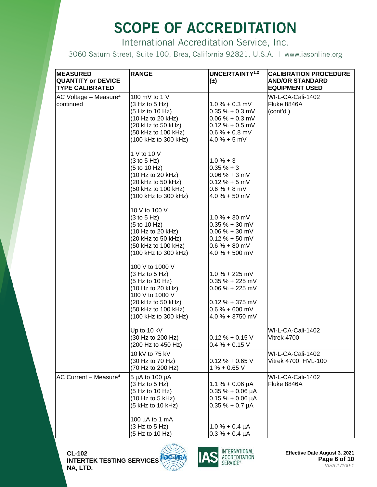International Accreditation Service, Inc.

| <b>MEASURED</b><br><b>QUANTITY or DEVICE</b><br><b>TYPE CALIBRATED</b> | <b>RANGE</b>                                                                                                                                                                         | UNCERTAINTY <sup>1,2</sup><br>$(\pm)$                                                                                   | <b>CALIBRATION PROCEDURE</b><br><b>AND/OR STANDARD</b><br><b>EQUIPMENT USED</b> |
|------------------------------------------------------------------------|--------------------------------------------------------------------------------------------------------------------------------------------------------------------------------------|-------------------------------------------------------------------------------------------------------------------------|---------------------------------------------------------------------------------|
| AC Voltage - Measure <sup>4</sup><br>continued                         | 100 mV to 1 V<br>(3 Hz to 5 Hz)<br>(5 Hz to 10 Hz)<br>(10 Hz to 20 kHz)<br>$(20 \text{ kHz to } 50 \text{ kHz})$<br>(50 kHz to 100 kHz)<br>(100 kHz to 300 kHz)                      | $1.0 \% + 0.3$ mV<br>$0.35% + 0.3$ mV<br>$0.06 % + 0.3 mV$<br>$0.12 % + 0.5 mV$<br>$0.6% + 0.8$ mV<br>$4.0% + 5$ mV     | WI-L-CA-Cali-1402<br>Fluke 8846A<br>(cont'd.)                                   |
|                                                                        | 1 V to 10 V<br>(3 to 5 Hz)<br>(5 to 10 Hz)<br>(10 Hz to 20 kHz)<br>$(20 \text{ kHz to } 50 \text{ kHz})$<br>(50 kHz to 100 kHz)<br>(100 kHz to 300 kHz)                              | $1.0% + 3$<br>$0.35 \% + 3$<br>$0.06 % + 3 mV$<br>$0.12 \% + 5 mV$<br>$0.6 % + 8 mV$<br>$4.0 % + 50 mV$                 |                                                                                 |
|                                                                        | 10 V to 100 V<br>(3 to 5 Hz)<br>(5 to 10 Hz)<br>(10 Hz to 20 kHz)<br>(20 kHz to 50 kHz)<br>(50 kHz to 100 kHz)<br>(100 kHz to 300 kHz)                                               | $1.0 % + 30 mV$<br>$0.35 \% + 30$ mV<br>$0.06 % + 30 mV$<br>$0.12 \% + 50$ mV<br>$0.6% + 80$ mV<br>$4.0 % + 500 mV$     |                                                                                 |
|                                                                        | 100 V to 1000 V<br>(3 Hz to 5 Hz)<br>(5 Hz to 10 Hz)<br>(10 Hz to 20 kHz)<br>100 V to 1000 V<br>$(20 \text{ kHz to } 50 \text{ kHz})$<br>(50 kHz to 100 kHz)<br>(100 kHz to 300 kHz) | $1.0 % + 225 mV$<br>$0.35 \% + 225$ mV<br>$0.06 % + 225 mV$<br>$0.12 \% + 375$ mV<br>$0.6% + 600$ mV<br>4.0 % + 3750 mV |                                                                                 |
|                                                                        | Up to 10 kV<br>(30 Hz to 200 Hz)<br>(200 Hz to 450 Hz)                                                                                                                               | $0.12 \% + 0.15 V$<br>$0.4 % + 0.15 V$                                                                                  | WI-L-CA-Cali-1402<br>Vitrek 4700                                                |
|                                                                        | 10 kV to 75 kV<br>(30 Hz to 70 Hz)<br>(70 Hz to 200 Hz)                                                                                                                              | $0.12 \% + 0.65 V$<br>$1\% + 0.65$ V                                                                                    | WI-L-CA-Cali-1402<br>Vitrek 4700, HVL-100                                       |
| AC Current - Measure <sup>4</sup>                                      | 5 µA to 100 µA<br>(3 Hz to 5 Hz)<br>(5 Hz to 10 Hz)<br>(10 Hz to 5 kHz)<br>(5 kHz to 10 kHz)                                                                                         | $1.1 \% + 0.06 \mu A$<br>$0.35 \% + 0.06 \mu A$<br>$0.15 \% + 0.06 \mu A$<br>$0.35 \% + 0.7 \mu A$                      | WI-L-CA-Cali-1402<br>Fluke 8846A                                                |
|                                                                        | 100 $\mu$ A to 1 mA<br>(3 Hz to 5 Hz)<br>(5 Hz to 10 Hz)                                                                                                                             | $1.0% + 0.4 \mu A$<br>$0.3% + 0.4 \mu A$                                                                                |                                                                                 |



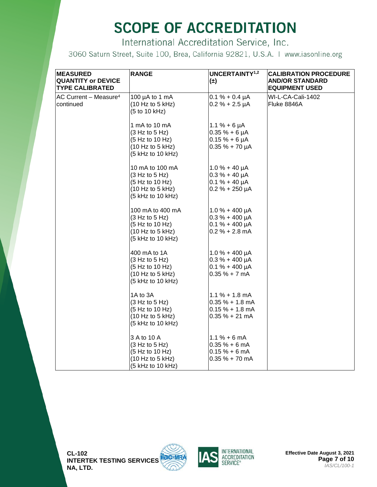International Accreditation Service, Inc.

| <b>MEASURED</b><br><b>QUANTITY or DEVICE</b><br>TYPE CALIBRATED | <b>RANGE</b>                                                                                   | <b>UNCERTAINTY1,2</b><br>$(\pm)$                                                       | <b>CALIBRATION PROCEDURE</b><br>AND/OR STANDARD<br><b>EQUIPMENT USED</b> |
|-----------------------------------------------------------------|------------------------------------------------------------------------------------------------|----------------------------------------------------------------------------------------|--------------------------------------------------------------------------|
| AC Current - Measure <sup>4</sup><br>continued                  | 100 $\mu$ A to 1 mA<br>(10 Hz to 5 kHz)<br>(5 to 10 kHz)                                       | $0.1 \% + 0.4 \mu A$<br>$0.2 % + 2.5 \mu A$                                            | WI-L-CA-Cali-1402<br>Fluke 8846A                                         |
|                                                                 | 1 mA to 10 mA<br>(3 Hz to 5 Hz)<br>(5 Hz to 10 Hz)<br>(10 Hz to 5 kHz)<br>(5 kHz to 10 kHz)    | $1.1 \% + 6 \mu A$<br>$0.35 \% + 6 \mu A$<br>$0.15% + 6 \mu A$<br>$0.35 \% + 70 \mu A$ |                                                                          |
|                                                                 | 10 mA to 100 mA<br>(3 Hz to 5 Hz)<br>(5 Hz to 10 Hz)<br>(10 Hz to 5 kHz)<br>(5 kHz to 10 kHz)  | $1.0% + 40 \mu A$<br>$0.3 \% + 40 \mu A$<br>$0.1 \% + 40 \mu A$<br>$0.2 % + 250 \mu A$ |                                                                          |
|                                                                 | 100 mA to 400 mA<br>(3 Hz to 5 Hz)<br>(5 Hz to 10 Hz)<br>(10 Hz to 5 kHz)<br>(5 kHz to 10 kHz) | $1.0 % + 400 \mu A$<br>$0.3 \% + 400 \mu A$<br>$0.1 % + 400 \mu A$<br>$0.2 % + 2.8 mA$ |                                                                          |
|                                                                 | 400 mA to 1A<br>(3 Hz to 5 Hz)<br>(5 Hz to 10 Hz)<br>(10 Hz to 5 kHz)<br>(5 kHz to 10 kHz)     | $1.0% + 400 \mu A$<br>$0.3 \% + 400 \mu A$<br>$0.1 \% + 400 \mu A$<br>$0.35 \% + 7 mA$ |                                                                          |
|                                                                 | 1A to 3A<br>(3 Hz to 5 Hz)<br>(5 Hz to 10 Hz)<br>(10 Hz to 5 kHz)<br>(5 kHz to 10 kHz)         | $1.1\% + 1.8$ mA<br>$0.35 \% + 1.8$ mA<br>$0.15% + 1.8$ mA<br>$0.35% + 21mA$           |                                                                          |
|                                                                 | 3 A to 10 A<br>(3 Hz to 5 Hz)<br>(5 Hz to 10 Hz)<br>(10 Hz to 5 kHz)<br>(5 kHz to 10 kHz)      | $1.1 \% + 6 mA$<br>$0.35% + 6mA$<br>$0.15% + 6mA$<br>$0.35 \% + 70$ mA                 |                                                                          |



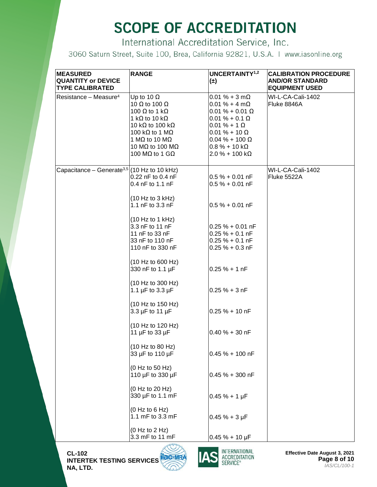International Accreditation Service, Inc.

3060 Saturn Street, Suite 100, Brea, California 92821, U.S.A. | www.iasonline.org

| <b>MEASURED</b><br><b>QUANTITY or DEVICE</b><br><b>TYPE CALIBRATED</b> | <b>RANGE</b>                                                                                                                                                                                                                                                                 | UNCERTAINTY <sup>1,2</sup><br>$(\pm)$                                                                                                                                                                                            | <b>CALIBRATION PROCEDURE</b><br><b>AND/OR STANDARD</b><br><b>EQUIPMENT USED</b> |
|------------------------------------------------------------------------|------------------------------------------------------------------------------------------------------------------------------------------------------------------------------------------------------------------------------------------------------------------------------|----------------------------------------------------------------------------------------------------------------------------------------------------------------------------------------------------------------------------------|---------------------------------------------------------------------------------|
| Resistance - Measure <sup>4</sup>                                      | Up to 10 $\Omega$<br>10 $\Omega$ to 100 $\Omega$<br>100 $\Omega$ to 1 k $\Omega$<br>1 k $\Omega$ to 10 k $\Omega$<br>10 k $\Omega$ to 100 k $\Omega$<br>100 k $\Omega$ to 1 M $\Omega$<br>1 MQ to 10 MQ<br>10 M $\Omega$ to 100 M $\Omega$<br>100 M $\Omega$ to 1 G $\Omega$ | $0.01 \% + 3 m\Omega$<br>$0.01 \% + 4 m\Omega$<br>$0.01 \% + 0.01 \Omega$<br>$0.01 \% + 0.1 \Omega$<br>$0.01 \% + 1 \Omega$<br>$0.01 \% + 10 \Omega$<br>$0.04 \% + 100 \Omega$<br>$0.8\% + 10 k\Omega$<br>$2.0 \% + 100 k\Omega$ | WI-L-CA-Cali-1402<br>Fluke 8846A                                                |
| Capacitance – Generate <sup>3,5</sup> (10 Hz to 10 kHz)                | 0.22 nF to 0.4 nF<br>0.4 nF to 1.1 nF                                                                                                                                                                                                                                        | $0.5% + 0.01$ nF<br>$0.5% + 0.01$ nF                                                                                                                                                                                             | WI-L-CA-Cali-1402<br>Fluke 5522A                                                |
|                                                                        | (10 Hz to 3 kHz)<br>1.1 nF to 3.3 nF                                                                                                                                                                                                                                         | $0.5% + 0.01$ nF                                                                                                                                                                                                                 |                                                                                 |
|                                                                        | (10 Hz to 1 kHz)<br>3.3 nF to 11 nF<br>11 nF to 33 nF<br>33 nF to 110 nF<br>110 nF to 330 nF                                                                                                                                                                                 | $0.25 \% + 0.01$ nF<br>$0.25 \% + 0.1 nF$<br>$0.25 \% + 0.1 nF$<br>$0.25% + 0.3$ nF                                                                                                                                              |                                                                                 |
|                                                                        | (10 Hz to 600 Hz)<br>330 nF to 1.1 µF                                                                                                                                                                                                                                        | $0.25 \% + 1 nF$                                                                                                                                                                                                                 |                                                                                 |
|                                                                        | (10 Hz to 300 Hz)<br>1.1 $\mu$ F to 3.3 $\mu$ F                                                                                                                                                                                                                              | $0.25% + 3nF$                                                                                                                                                                                                                    |                                                                                 |
|                                                                        | (10 Hz to 150 Hz)<br>$3.3 \mu F$ to 11 $\mu F$                                                                                                                                                                                                                               | $0.25% + 10nF$                                                                                                                                                                                                                   |                                                                                 |
|                                                                        | (10 Hz to 120 Hz)<br>11 µF to 33 µF                                                                                                                                                                                                                                          | $0.40 \% + 30 nF$                                                                                                                                                                                                                |                                                                                 |
|                                                                        | (10 Hz to 80 Hz)<br>33 µF to 110 µF                                                                                                                                                                                                                                          | $0.45% + 100$ nF                                                                                                                                                                                                                 |                                                                                 |
|                                                                        | (0 Hz to 50 Hz)<br>110 µF to 330 µF                                                                                                                                                                                                                                          | $0.45% + 300$ nF                                                                                                                                                                                                                 |                                                                                 |
|                                                                        | (0 Hz to 20 Hz)<br>330 µF to 1.1 mF                                                                                                                                                                                                                                          | $0.45% + 1 \,\mu F$                                                                                                                                                                                                              |                                                                                 |
|                                                                        | (0 Hz to 6 Hz)<br>1.1 mF to 3.3 mF                                                                                                                                                                                                                                           | $0.45% + 3 \mu F$                                                                                                                                                                                                                |                                                                                 |
|                                                                        | (0 Hz to 2 Hz)<br>3.3 mF to 11 mF                                                                                                                                                                                                                                            | $0.45% + 10 \mu F$                                                                                                                                                                                                               |                                                                                 |

**CL-102 INTERTEK TESTING SERVICES NA, LTD.**



**Effective Date August 3, 2021 Page 8 of 10** *IAS/CL/100-1*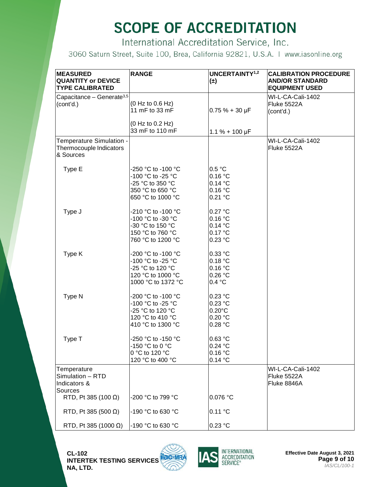International Accreditation Service, Inc.

3060 Saturn Street, Suite 100, Brea, California 92821, U.S.A. | www.iasonline.org

| <b>MEASURED</b><br><b>QUANTITY or DEVICE</b><br><b>TYPE CALIBRATED</b> | <b>RANGE</b>                                                                                           | UNCERTAINTY <sup>1,2</sup><br>$(\pm)$                        | <b>CALIBRATION PROCEDURE</b><br><b>AND/OR STANDARD</b><br><b>EQUIPMENT USED</b> |
|------------------------------------------------------------------------|--------------------------------------------------------------------------------------------------------|--------------------------------------------------------------|---------------------------------------------------------------------------------|
| Capacitance - Generate <sup>3,5</sup><br>(cont'd.)                     | (0 Hz to 0.6 Hz)<br>11 mF to 33 mF<br>(0 Hz to 0.2 Hz)                                                 | $0.75% + 30 \mu F$                                           | WI-L-CA-Cali-1402<br>Fluke 5522A<br>(cont'd.)                                   |
|                                                                        | 33 mF to 110 mF                                                                                        | $1.1 \% + 100 \mu F$                                         |                                                                                 |
| Temperature Simulation -<br>Thermocouple Indicators<br>& Sources       |                                                                                                        |                                                              | WI-L-CA-Cali-1402<br>Fluke 5522A                                                |
| Type E                                                                 | -250 °C to -100 °C<br>-100 °C to -25 °C<br>-25 °C to 350 °C<br>350 °C to 650 °C<br>650 °C to 1000 °C   | 0.5 °C<br>0.16 °C<br>0.14 °C<br>0.16 °C<br>0.21 °C           |                                                                                 |
| Type J                                                                 | -210 °C to -100 °C<br>-100 °C to -30 °C<br>-30 °C to 150 °C<br>150 °C to 760 °C<br>760 °C to 1200 °C   | 0.27 °C<br>0.16 °C<br>0.14 °C<br>0.17 °C<br>0.23 °C          |                                                                                 |
| Type K                                                                 | -200 °C to -100 °C<br>-100 °C to -25 °C<br>-25 °C to 120 °C<br>120 °C to 1000 °C<br>1000 °C to 1372 °C | $0.33$ °C<br>0.18 °C<br>0.16 °C<br>0.26 °C<br>0.4 °C         |                                                                                 |
| Type N                                                                 | -200 °C to -100 °C<br>-100 °C to -25 °C<br>-25 °C to 120 °C<br>120 °C to 410 °C<br>410 °C to 1300 °C   | 0.23 °C<br>0.23 °C<br>$0.20^{\circ}$ C<br>0.20 °C<br>0.28 °C |                                                                                 |
| Type T                                                                 | -250 °C to -150 °C<br>-150 °C to 0 °C<br>0 °C to 120 °C<br>120 °C to 400 °C                            | 0.63 °C<br>0.24 °C<br>0.16 °C<br>0.14 °C                     |                                                                                 |
| Temperature<br>Simulation - RTD<br>Indicators &<br>Sources             |                                                                                                        |                                                              | WI-L-CA-Cali-1402<br>Fluke 5522A<br>Fluke 8846A                                 |
| RTD, Pt 385 (100 $\Omega$ )                                            | -200 °C to 799 °C                                                                                      | 0.076 °C                                                     |                                                                                 |
| RTD, Pt 385 (500 $\Omega$ )                                            | -190 °C to 630 °C                                                                                      | 0.11 °C                                                      |                                                                                 |
| RTD, Pt 385 (1000 $\Omega$ )                                           | -190 °C to 630 °C                                                                                      | 0.23 °C                                                      |                                                                                 |

**CL-102 INTERTEK TESTING SERVICES NA, LTD.**





**Effective Date August 3, 2021 Page 9 of 10** *IAS/CL/100-1*